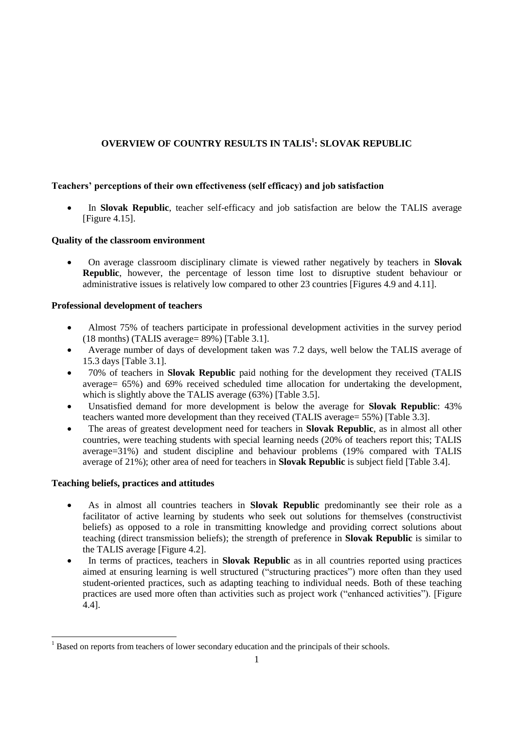# **OVERVIEW OF COUNTRY RESULTS IN TALIS<sup>1</sup> : SLOVAK REPUBLIC**

# **Teachers' perceptions of their own effectiveness (self efficacy) and job satisfaction**

 In **Slovak Republic**, teacher self-efficacy and job satisfaction are below the TALIS average [Figure 4.15].

## **Quality of the classroom environment**

 On average classroom disciplinary climate is viewed rather negatively by teachers in **Slovak Republic**, however, the percentage of lesson time lost to disruptive student behaviour or administrative issues is relatively low compared to other 23 countries [Figures 4.9 and 4.11].

## **Professional development of teachers**

- Almost 75% of teachers participate in professional development activities in the survey period (18 months) (TALIS average= 89%) [Table 3.1].
- Average number of days of development taken was 7.2 days, well below the TALIS average of 15.3 days [Table 3.1].
- 70% of teachers in **Slovak Republic** paid nothing for the development they received (TALIS average= 65%) and 69% received scheduled time allocation for undertaking the development, which is slightly above the TALIS average  $(63%)$  [Table 3.5].
- Unsatisfied demand for more development is below the average for **Slovak Republic**: 43% teachers wanted more development than they received (TALIS average= 55%) [Table 3.3].
- The areas of greatest development need for teachers in **Slovak Republic**, as in almost all other countries, were teaching students with special learning needs (20% of teachers report this; TALIS average=31%) and student discipline and behaviour problems (19% compared with TALIS average of 21%); other area of need for teachers in **Slovak Republic** is subject field [Table 3.4].

## **Teaching beliefs, practices and attitudes**

- As in almost all countries teachers in **Slovak Republic** predominantly see their role as a facilitator of active learning by students who seek out solutions for themselves (constructivist beliefs) as opposed to a role in transmitting knowledge and providing correct solutions about teaching (direct transmission beliefs); the strength of preference in **Slovak Republic** is similar to the TALIS average [Figure 4.2].
- In terms of practices, teachers in **Slovak Republic** as in all countries reported using practices aimed at ensuring learning is well structured ("structuring practices") more often than they used student-oriented practices, such as adapting teaching to individual needs. Both of these teaching practices are used more often than activities such as project work ("enhanced activities"). [Figure 4.4].

 <sup>1</sup> Based on reports from teachers of lower secondary education and the principals of their schools.